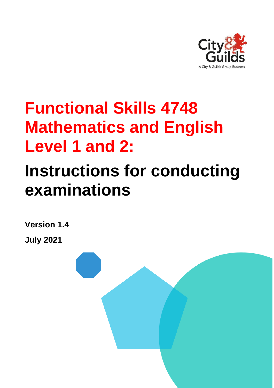

# **Functional Skills 4748 Mathematics and English Level 1 and 2:**

# **Instructions for conducting examinations**

**Version 1.4 July 2021**

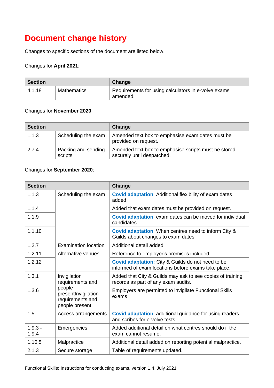## **Document change history**

Changes to specific sections of the document are listed below.

#### Changes for **April 2021**:

| <b>Section</b> |             | Change                                                          |  |  |
|----------------|-------------|-----------------------------------------------------------------|--|--|
| 4.1.18         | Mathematics | Requirements for using calculators in e-volve exams<br>amended. |  |  |

#### Changes for **November 2020**:

| <b>Section</b>               |                                | Change                                                                             |  |  |
|------------------------------|--------------------------------|------------------------------------------------------------------------------------|--|--|
| 1.1.3<br>Scheduling the exam |                                | Amended text box to emphasise exam dates must be<br>provided on request.           |  |  |
| 2.7.4                        | Packing and sending<br>scripts | Amended text box to emphasise scripts must be stored<br>securely until despatched. |  |  |

#### Changes for **September 2020**:

| <b>Section</b>                                                               |                                  | Change                                                                                                          |  |  |  |
|------------------------------------------------------------------------------|----------------------------------|-----------------------------------------------------------------------------------------------------------------|--|--|--|
| 1.1.3                                                                        | Scheduling the exam              | <b>Covid adaptation:</b> Additional flexibility of exam dates<br>added                                          |  |  |  |
| 1.1.4                                                                        |                                  | Added that exam dates must be provided on request.                                                              |  |  |  |
| 1.1.9                                                                        |                                  | Covid adaptation: exam dates can be moved for individual<br>candidates.                                         |  |  |  |
| 1.1.10                                                                       |                                  | <b>Covid adaptation:</b> When centres need to inform City &<br>Guilds about changes to exam dates               |  |  |  |
| 1.2.7                                                                        | <b>Examination location</b>      | Additional detail added                                                                                         |  |  |  |
| 1.2.11                                                                       | Alternative venues               | Reference to employer's premises included                                                                       |  |  |  |
| 1.2.12                                                                       |                                  | <b>Covid adaptation:</b> City & Guilds do not need to be<br>informed of exam locations before exams take place. |  |  |  |
| 1.3.1                                                                        | Invigilation<br>requirements and | Added that City & Guilds may ask to see copies of training<br>records as part of any exam audits.               |  |  |  |
| people<br>1.3.6<br>presentInvigilation<br>requirements and<br>people present |                                  | Employers are permitted to invigilate Functional Skills<br>exams                                                |  |  |  |
| 1.5                                                                          | Access arrangements              | <b>Covid adaptation:</b> additional guidance for using readers<br>and scribes for e-volve tests.                |  |  |  |
| $1.9.3 -$<br>1.9.4                                                           | Emergencies                      | Added additional detail on what centres should do if the<br>exam cannot resume.                                 |  |  |  |
| 1.10.5                                                                       | Malpractice                      | Additional detail added on reporting potential malpractice.                                                     |  |  |  |
| 2.1.3                                                                        | Secure storage                   | Table of requirements updated.                                                                                  |  |  |  |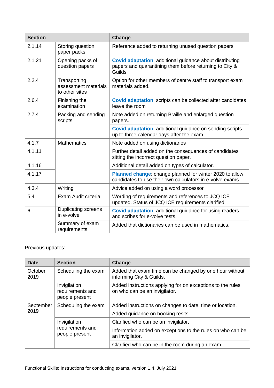| <b>Section</b> |                                                        | Change                                                                                                                               |  |  |  |
|----------------|--------------------------------------------------------|--------------------------------------------------------------------------------------------------------------------------------------|--|--|--|
| 2.1.14         | Storing question<br>paper packs                        | Reference added to returning unused question papers                                                                                  |  |  |  |
| 2.1.21         | Opening packs of<br>question papers                    | <b>Covid adaptation:</b> additional guidance about distributing<br>papers and quarantining them before returning to City &<br>Guilds |  |  |  |
| 2.2.4          | Transporting<br>assessment materials<br>to other sites | Option for other members of centre staff to transport exam<br>materials added.                                                       |  |  |  |
| 2.6.4          | Finishing the<br>examination                           | Covid adaptation: scripts can be collected after candidates<br>leave the room                                                        |  |  |  |
| 2.7.4          | Packing and sending<br>scripts                         | Note added on returning Braille and enlarged question<br>papers.                                                                     |  |  |  |
|                |                                                        | <b>Covid adaptation:</b> additional guidance on sending scripts<br>up to three calendar days after the exam.                         |  |  |  |
| 4.1.7          | <b>Mathematics</b>                                     | Note added on using dictionaries                                                                                                     |  |  |  |
| 4.1.11         |                                                        | Further detail added on the consequences of candidates<br>sitting the incorrect question paper.                                      |  |  |  |
| 4.1.16         |                                                        | Additional detail added on types of calculator.                                                                                      |  |  |  |
| 4.1.17         |                                                        | Planned change: change planned for winter 2020 to allow<br>candidates to use their own calculators in e-volve exams.                 |  |  |  |
| 4.3.4          | Writing                                                | Advice added on using a word processor                                                                                               |  |  |  |
| 5.4            | Exam Audit criteria                                    | Wording of requirements and references to JCQ ICE<br>updated. Status of JCQ ICE requirements clarified                               |  |  |  |
| 6              | <b>Duplicating screens</b><br>in e-volve               | <b>Covid adaptation:</b> additional guidance for using readers<br>and scribes for e-volve tests.                                     |  |  |  |
|                | Summary of exam<br>requirements                        | Added that dictionaries can be used in mathematics.                                                                                  |  |  |  |

#### Previous updates:

| <b>Date</b>     | <b>Section</b>                                     | Change                                                                                      |  |  |  |
|-----------------|----------------------------------------------------|---------------------------------------------------------------------------------------------|--|--|--|
| October<br>2019 | Scheduling the exam                                | Added that exam time can be changed by one hour without<br>informing City & Guilds.         |  |  |  |
|                 | Invigilation<br>requirements and<br>people present | Added instructions applying for on exceptions to the rules<br>on who can be an invigilator. |  |  |  |
| September       | Scheduling the exam                                | Added instructions on changes to date, time or location.                                    |  |  |  |
| 2019            |                                                    | Added guidance on booking resits.                                                           |  |  |  |
|                 | Invigilation                                       | Clarified who can be an invigilator.                                                        |  |  |  |
|                 | requirements and<br>people present                 | Information added on exceptions to the rules on who can be<br>an invigilator.               |  |  |  |
|                 |                                                    | Clarified who can be in the room during an exam.                                            |  |  |  |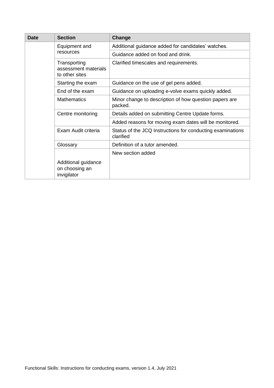| <b>Date</b> | <b>Section</b>                                         | Change                                                                  |  |  |  |
|-------------|--------------------------------------------------------|-------------------------------------------------------------------------|--|--|--|
|             | Equipment and                                          | Additional guidance added for candidates' watches.                      |  |  |  |
|             | resources                                              | Guidance added on food and drink.                                       |  |  |  |
|             | Transporting<br>assessment materials<br>to other sites | Clarified timescales and requirements.                                  |  |  |  |
|             | Starting the exam                                      | Guidance on the use of gel pens added.                                  |  |  |  |
|             | End of the exam                                        | Guidance on uploading e-volve exams quickly added.                      |  |  |  |
|             | <b>Mathematics</b>                                     | Minor change to description of how question papers are<br>packed.       |  |  |  |
|             | Centre monitoring                                      | Details added on submitting Centre Update forms.                        |  |  |  |
|             |                                                        | Added reasons for moving exam dates will be monitored.                  |  |  |  |
|             | Exam Audit criteria                                    | Status of the JCQ Instructions for conducting examinations<br>clarified |  |  |  |
|             | Glossary                                               | Definition of a tutor amended.                                          |  |  |  |
|             |                                                        | New section added                                                       |  |  |  |
|             | Additional guidance<br>on choosing an<br>invigilator   |                                                                         |  |  |  |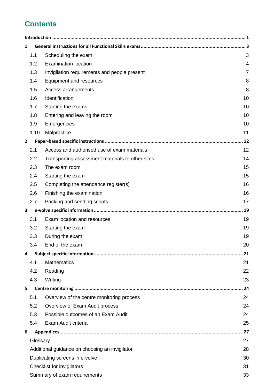## **Contents**

| 1              |          |                                                  |                |
|----------------|----------|--------------------------------------------------|----------------|
|                | 1.1      | Scheduling the exam                              | 3              |
|                | 1.2      | <b>Examination location</b>                      | 4              |
|                | 1.3      | Invigilation requirements and people present     | $\overline{7}$ |
|                | 1.4      | Equipment and resources                          | 8              |
|                | 1.5      | Access arrangements                              | 8              |
|                | 1.6      | Identification                                   | 10             |
|                | 1.7      | Starting the exams                               | 10             |
|                | 1.8      | Entering and leaving the room                    | 10             |
|                | 1.9      | Emergencies                                      | 10             |
|                | 1.10     | Malpractice                                      | 11             |
| $\overline{2}$ |          |                                                  | 12             |
|                | 2.1      | Access and authorised use of exam materials      | 12             |
|                | 2.2      | Transporting assessment materials to other sites | 14             |
|                | 2.3      | The exam room                                    | 15             |
|                | 2.4      | Starting the exam                                | 15             |
|                | 2.5      | Completing the attendance register(s)            | 16             |
|                | 2.6      | Finishing the examination                        | 16             |
|                | 2.7      | Packing and sending scripts                      | 17             |
| 3              |          |                                                  | 19             |
|                | 3.1      | Exam location and resources                      | 19             |
|                | 3.2      | Starting the exam                                | 19             |
|                | 3.3      | During the exam                                  | 19             |
|                | 3.4      | End of the exam                                  | 20             |
| 4              |          |                                                  | 21             |
|                | 4.1      | <b>Mathematics</b>                               | 21             |
|                | 4.2      | Reading                                          | 22             |
|                | 4.3      | Writing                                          | 23             |
| 5              |          |                                                  | 24             |
|                | 5.1      | Overview of the centre monitoring process        | 24             |
|                | 5.2      | Overview of Exam Audit process                   | 24             |
|                | 5.3      | Possible outcomes of an Exam Audit               | 24             |
|                | 5.4      | Exam Audit criteria                              | 25             |
| 6              |          |                                                  | 27             |
|                | Glossary |                                                  | 27             |
|                |          | Additional guidance on choosing an invigilator   | 28             |
|                |          | Duplicating screens in e-volve                   | 30             |
|                |          | Checklist for invigilators                       | 31             |
|                |          | Summary of exam requirements                     | 33             |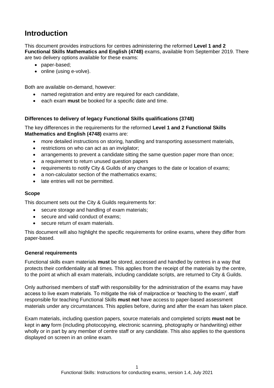## <span id="page-5-0"></span>**Introduction**

This document provides instructions for centres administering the reformed **Level 1 and 2 Functional Skills Mathematics and English (4748)** exams, available from September 2019. There are two delivery options available for these exams:

- paper-based;
- online (using e-volve).

Both are available on-demand, however:

- named registration and entry are required for each candidate,
- each exam **must** be booked for a specific date and time.

#### **Differences to delivery of legacy Functional Skills qualifications (3748)**

The key differences in the requirements for the reformed **Level 1 and 2 Functional Skills Mathematics and English (4748)** exams are:

- more detailed instructions on storing, handling and transporting assessment materials,
- restrictions on who can act as an invigilator;
- arrangements to prevent a candidate sitting the same question paper more than once;
- a requirement to return unused question papers
- requirements to notify City & Guilds of any changes to the date or location of exams;
- a non-calculator section of the mathematics exams;
- late entries will not be permitted.

#### **Scope**

This document sets out the City & Guilds requirements for:

- secure storage and handling of exam materials;
- secure and valid conduct of exams:
- secure return of exam materials.

This document will also highlight the specific requirements for online exams, where they differ from paper-based.

#### **General requirements**

Functional skills exam materials **must** be stored, accessed and handled by centres in a way that protects their confidentiality at all times. This applies from the receipt of the materials by the centre, to the point at which all exam materials, including candidate scripts, are returned to City & Guilds.

Only authorised members of staff with responsibility for the administration of the exams may have access to live exam materials. To mitigate the risk of malpractice or 'teaching to the exam', staff responsible for teaching Functional Skills **must not** have access to paper-based assessment materials under any circumstances. This applies before, during and after the exam has taken place.

Exam materials, including question papers, source materials and completed scripts **must not** be kept in **any** form (including photocopying, electronic scanning, photography or handwriting) either wholly or in part by any member of centre staff or any candidate. This also applies to the questions displayed on screen in an online exam.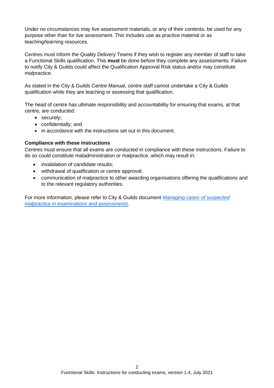Under no circumstances may live assessment materials, or any of their contents, be used for any purpose other than for live assessment. This includes use as practice material or as teaching/learning resources.

Centres must inform the Quality Delivery Teams if they wish to register any member of staff to take a Functional Skills qualification. This **must** be done before they complete any assessments. Failure to notify City & Guilds could affect the Qualification Approval Risk status and/or may constitute malpractice.

As stated in the City & Guilds Centre Manual, centre staff cannot undertake a City & Guilds qualification while they are teaching or assessing that qualification.

The head of centre has ultimate responsibility and accountability for ensuring that exams, at that centre, are conducted:

- securely;
- confidentially; and
- in accordance with the instructions set out in this document.

#### **Compliance with these instructions**

Centres must ensure that all exams are conducted in compliance with these instructions. Failure to do so could constitute maladministration or malpractice, which may result in:

- invalidation of candidate results:
- withdrawal of qualification or centre approval;
- communication of malpractice to other awarding organisations offering the qualifications and to the relevant regulatory authorities.

For more information, please refer to City & Guilds document *[Managing cases of suspected](https://www.cityandguilds.com/delivering-our-qualifications/centre-development/centre-document-library/policies-and-procedures/assessment-malpractice)  [malpractice in examinations and assessments](https://www.cityandguilds.com/delivering-our-qualifications/centre-development/centre-document-library/policies-and-procedures/assessment-malpractice)*.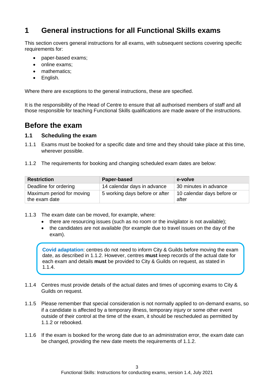## <span id="page-7-3"></span>**1 General instructions for all Functional Skills exams**

This section covers general instructions for all exams, with subsequent sections covering specific requirements for:

- paper-based exams;
- online exams;
- mathematics:
- English.

Where there are exceptions to the general instructions, these are specified.

It is the responsibility of the Head of Centre to ensure that all authorised members of staff and all those responsible for teaching Functional Skills qualifications are made aware of the instructions.

### **Before the exam**

#### <span id="page-7-1"></span>**1.1 Scheduling the exam**

- 1.1.1 Exams must be booked for a specific date and time and they should take place at this time, wherever possible.
- <span id="page-7-4"></span>1.1.2 The requirements for booking and changing scheduled exam dates are below:

| <b>Restriction</b>                         | Paper-based                    | e-volve                             |  |  |
|--------------------------------------------|--------------------------------|-------------------------------------|--|--|
| Deadline for ordering                      | 14 calendar days in advance    | 30 minutes in advance               |  |  |
| Maximum period for moving<br>the exam date | 5 working days before or after | 10 calendar days before or<br>after |  |  |

- <span id="page-7-0"></span>1.1.3 The exam date can be moved, for example, where:
	- there are resourcing issues (such as no room or the invigilator is not available);
	- the candidates are not available (for example due to travel issues on the day of the exam).

**Covid adaptation**: centres do not need to inform City & Guilds before moving the exam date, as described in [1.1.2.](#page-7-4) However, centres **must** keep records of the actual date for each exam and details **must** be provided to City & Guilds on request, as stated in [1.1.4.](#page-7-2)

- <span id="page-7-2"></span>1.1.4 Centres must provide details of the actual dates and times of upcoming exams to City & Guilds on request.
- 1.1.5 Please remember that special consideration is not normally applied to on-demand exams, so if a candidate is affected by a temporary illness, temporary injury or some other event outside of their control at the time of the exam, it should be rescheduled as permitted by [1.1.2](#page-7-4) or rebooked.
- 1.1.6 If the exam is booked for the wrong date due to an administration error, the exam date can be changed, providing the new date meets the requirements of [1.1.2.](#page-7-4)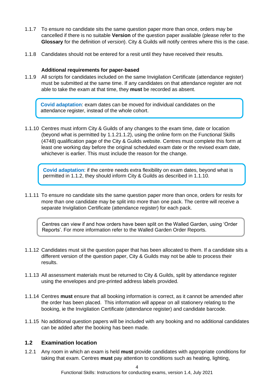- 1.1.7 To ensure no candidate sits the same question paper more than once, orders may be cancelled if there is no suitable **[Version](#page-31-3)** of the question paper available (please refer to the **[Glossary](#page-31-1)** for the definition of *version*). City & Guilds will notify centres where this is the case.
- 1.1.8 Candidates should not be entered for a resit until they have received their results.

#### **Additional requirements for paper-based**

<span id="page-8-0"></span>1.1.9 All scripts for candidates included on the same Invigilation Certificate (attendance register) must be submitted at the same time. If any candidates on that attendance register are not able to take the exam at that time, they **must** be recorded as absent.

**Covid adaptation**: exam dates can be moved for individual candidates on the attendance register, instead of the whole cohort.

<span id="page-8-1"></span>1.1.10 Centres must inform City & Guilds of any changes to the exam time, date or location (beyond what is permitted by [1.1.21.1.2\)](#page-7-4), using the online form on the Functional Skills (4748) qualification page of the City & Guilds website. Centres must complete this form at least one working day before the original scheduled exam date or the revised exam date, whichever is earlier. This must include the reason for the change.

**Covid adaptation**: if the centre needs extra flexibility on exam dates, beyond what is permitted in [1.1.2,](#page-7-4) they should inform City & Guilds as described in [1.1.10.](#page-8-1)

1.1.11 To ensure no candidate sits the same question paper more than once, orders for resits for more than one candidate may be split into more than one pack. The centre will receive a separate Invigilation Certificate (attendance register) for each pack.

Centres can view if and how orders have been split on the Walled Garden, using 'Order Reports'. For more information refer to the Walled Garden Order Reports.

- 1.1.12 Candidates must sit the question paper that has been allocated to them. If a candidate sits a different version of the question paper, City & Guilds may not be able to process their results.
- 1.1.13 All assessment materials must be returned to City & Guilds, split by attendance register using the envelopes and pre-printed address labels provided.
- 1.1.14 Centres **must** ensure that all booking information is correct, as it cannot be amended after the order has been placed. This information will appear on all stationery relating to the booking, ie the Invigilation Certificate (attendance register) and candidate barcode.
- 1.1.15 No additional question papers will be included with any booking and no additional candidates can be added after the booking has been made.

#### <span id="page-8-2"></span>**1.2 Examination location**

1.2.1 Any room in which an exam is held **must** provide candidates with appropriate conditions for taking that exam. Centres **must** pay attention to conditions such as heating, lighting,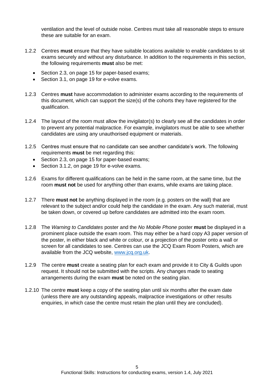ventilation and the level of outside noise. Centres must take all reasonable steps to ensure these are suitable for an exam.

- 1.2.2 Centres **must** ensure that they have suitable locations available to enable candidates to sit exams securely and without any disturbance. In addition to the requirements in this section, the following requirements **must** also be met:
	- Section [2.3,](#page-19-2) on page [15](#page-19-2) for paper-based exams;
	- Section [3.1,](#page-23-1) on page [19](#page-23-1) for e-volve exams.
- 1.2.3 Centres **must** have accommodation to administer exams according to the requirements of this document, which can support the size(s) of the cohorts they have registered for the qualification.
- 1.2.4 The layout of the room must allow the invigilator(s) to clearly see all the candidates in order to prevent any potential malpractice. For example, invigilators must be able to see whether candidates are using any unauthorised equipment or materials.
- 1.2.5 Centres must ensure that no candidate can see another candidate's work. The following requirements **must** be met regarding this:
	- Section [2.3,](#page-19-3) on page [15](#page-19-2) for paper-based exams;
	- Section [3.1.2,](#page-23-4) on page [19](#page-23-1) for e-volve exams.
- 1.2.6 Exams for different qualifications can be held in the same room, at the same time, but the room **must not** be used for anything other than exams, while exams are taking place.
- <span id="page-9-0"></span>1.2.7 There **must not** be anything displayed in the room (e.g. posters on the wall) that are relevant to the subject and/or could help the candidate in the exam. Any such material, must be taken down, or covered up before candidates are admitted into the exam room.
- 1.2.8 The *Warning to Candidates* poster and the *No Mobile Phone* poster **must** be displayed in a prominent place outside the exam room. This may either be a hard copy A3 paper version of the poster, in either black and white or colour, or a projection of the poster onto a wall or screen for all candidates to see. Centres can use the JCQ Exam Room Posters, which are available from the JCQ website, [www.jcq.org.uk.](http://www.jcq.org.uk/)
- <span id="page-9-1"></span>1.2.9 The centre **must** create a seating plan for each exam and provide it to City & Guilds upon request. It should not be submitted with the scripts. Any changes made to seating arrangements during the exam **must** be noted on the seating plan.
- 1.2.10 The centre **must** keep a copy of the seating plan until six months after the exam date (unless there are any outstanding appeals, malpractice investigations or other results enquiries, in which case the centre must retain the plan until they are concluded).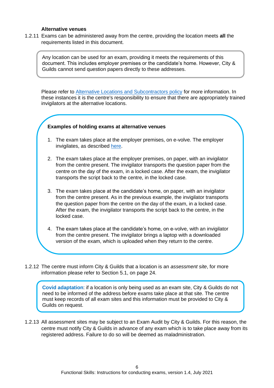#### **Alternative venues**

1.2.11 Exams can be administered away from the centre, providing the location meets **all** the requirements listed in this document.

Any location can be used for an exam, providing it meets the requirements of this document. This includes employer premises or the candidate's home. However, City & Guilds cannot send question papers directly to these addresses.

Please refer to [Alternative Locations and Subcontractors policy](http://www.cityandguilds.com/delivering-our-qualifications/centre-development/quality-assurance/quality-assurance-documents) for more information. In these instances it is the centre's responsibility to ensure that there are appropriately trained invigilators at the alternative locations.

#### **Examples of holding exams at alternative venues**

- 1. The exam takes place at the employer premises, on e-volve. The employer invigilates, as described [here.](https://www.cityandguilds.com/covid-19/evolve)
- 2. The exam takes place at the employer premises, on paper, with an invigilator from the centre present. The invigilator transports the question paper from the centre on the day of the exam, in a locked case. After the exam, the invigilator transports the script back to the centre, in the locked case.
- 3. The exam takes place at the candidate's home, on paper, with an invigilator from the centre present. As in the previous example, the invigilator transports the question paper from the centre on the day of the exam, in a locked case. After the exam, the invigilator transports the script back to the centre, in the locked case.
- 4. The exam takes place at the candidate's home, on e-volve, with an invigilator from the centre present. The invigilator brings a laptop with a downloaded version of the exam, which is uploaded when they return to the centre.
- <span id="page-10-0"></span>1.2.12 The centre must inform City & Guilds that a location is an *assessment site*, for more information please refer to Section [5.1,](#page-28-1) on page [24.](#page-28-0)

**Covid adaptation**: if a location is only being used as an exam site, City & Guilds do not need to be informed of the address before exams take place at that site. The centre must keep records of all exam sites and this information must be provided to City & Guilds on request.

1.2.13 All assessment sites may be subject to an Exam Audit by City & Guilds. For this reason, the centre must notify City & Guilds in advance of any exam which is to take place away from its registered address. Failure to do so will be deemed as maladministration.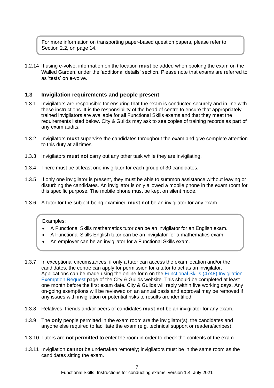For more information on transporting paper-based question papers, please refer to Section [2.2,](#page-18-0) on page [14.](#page-18-0)

1.2.14 If using e-volve, information on the location **must** be added when booking the exam on the Walled Garden, under the 'additional details' section. Please note that exams are referred to as 'tests' on e-volve.

#### <span id="page-11-1"></span>**1.3 Invigilation requirements and people present**

- <span id="page-11-0"></span>1.3.1 Invigilators are responsible for ensuring that the exam is conducted securely and in line with these instructions. It is the responsibility of the head of centre to ensure that appropriately trained invigilators are available for all Functional Skills exams and that they meet the requirements listed below. City & Guilds may ask to see copies of training records as part of any exam audits.
- <span id="page-11-5"></span>1.3.2 Invigilators **must** supervise the candidates throughout the exam and give complete attention to this duty at all times.
- 1.3.3 Invigilators **must not** carry out any other task while they are invigilating.
- <span id="page-11-3"></span>1.3.4 There must be at least one invigilator for each group of 30 candidates.
- <span id="page-11-4"></span>1.3.5 If only one invigilator is present, they must be able to summon assistance without leaving or disturbing the candidates. An invigilator is only allowed a mobile phone in the exam room for this specific purpose. The mobile phone must be kept on silent mode.
- 1.3.6 A tutor for the subject being examined **must not** be an invigilator for any exam.

#### Examples:

- A Functional Skills mathematics tutor can be an invigilator for an English exam.
- A Functional Skills English tutor can be an invigilator for a mathematics exam.
- An employer can be an invigilator for a Functional Skills exam.
- 1.3.7 In exceptional circumstances, if only a tutor can access the exam location and/or the candidates, the centre can apply for permission for a tutor to act as an invigilator. Applications can be made using the online form on the [Functional Skills \(4748\) Invigilation](https://www.cityandguilds.com/what-we-offer/centres/maths-and-english/functional-skills/invigilation-exemption-request)  [Exemption Request](https://www.cityandguilds.com/what-we-offer/centres/maths-and-english/functional-skills/invigilation-exemption-request) page of the City & Guilds website. This should be completed at least one month before the first exam date. City & Guilds will reply within five working days. Any on-going exemptions will be reviewed on an annual basis and approval may be removed if any issues with invigilation or potential risks to results are identified.
- 1.3.8 Relatives, friends and/or peers of candidates **must not** be an invigilator for any exam.
- <span id="page-11-2"></span>1.3.9 The **only** people permitted in the exam room are the invigilator(s), the candidates and anyone else required to facilitate the exam (e.g. technical support or readers/scribes).
- 1.3.10 Tutors are **not permitted** to enter the room in order to check the contents of the exam.
- 1.3.11 Invigilation **cannot** be undertaken remotely; invigilators must be in the same room as the candidates sitting the exam.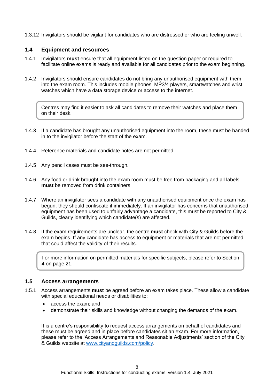1.3.12 Invigilators should be vigilant for candidates who are distressed or who are feeling unwell.

#### <span id="page-12-1"></span>**1.4 Equipment and resources**

- 1.4.1 Invigilators **must** ensure that all equipment listed on the question paper or required to facilitate online exams is ready and available for all candidates prior to the exam beginning.
- <span id="page-12-2"></span>1.4.2 Invigilators should ensure candidates do not bring any unauthorised equipment with them into the exam room. This includes mobile phones, MP3/4 players, smartwatches and wrist watches which have a data storage device or access to the internet.

Centres may find it easier to ask all candidates to remove their watches and place them on their desk.

- 1.4.3 If a candidate has brought any unauthorised equipment into the room, these must be handed in to the invigilator before the start of the exam.
- 1.4.4 Reference materials and candidate notes are not permitted.
- 1.4.5 Any pencil cases must be see-through.
- 1.4.6 Any food or drink brought into the exam room must be free from packaging and all labels **must** be removed from drink containers.
- 1.4.7 Where an invigilator sees a candidate with any unauthorised equipment once the exam has begun, they should confiscate it immediately. If an invigilator has concerns that unauthorised equipment has been used to unfairly advantage a candidate, this must be reported to City & Guilds, clearly identifying which candidate(s) are affected.
- 1.4.8 If the exam requirements are unclear, the centre **must** check with City & Guilds before the exam begins. If any candidate has access to equipment or materials that are not permitted, that could affect the validity of their results.

For more information on permitted materials for specific subjects, please refer to Section [4](#page-25-3) on page [21.](#page-25-3)

#### <span id="page-12-0"></span>**1.5 Access arrangements**

- 1.5.1 Access arrangements **must** be agreed before an exam takes place. These allow a candidate with special educational needs or disabilities to:
	- access the exam; and
	- demonstrate their skills and knowledge without changing the demands of the exam.

It is a centre's responsibility to request access arrangements on behalf of candidates and these must be agreed and in place before candidates sit an exam. For more information, please refer to the 'Access Arrangements and Reasonable Adjustments' section of the City & Guilds website at [www.cityandguilds.com/policy.](http://www.cityandguilds.com/policy)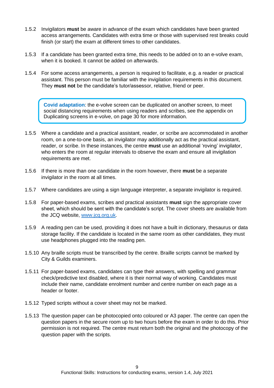- 1.5.2 Invigilators **must** be aware in advance of the exam which candidates have been granted access arrangements. Candidates with extra time or those with supervised rest breaks could finish (or start) the exam at different times to other candidates.
- 1.5.3 If a candidate has been granted extra time, this needs to be added on to an e-volve exam, when it is booked. It cannot be added on afterwards.
- 1.5.4 For some access arrangements, a person is required to facilitate, e.g. a reader or practical assistant. This person must be familiar with the invigilation requirements in this document. They **must not** be the candidate's tutor/assessor, relative, friend or peer.

**Covid adaptation**: the e-volve screen can be duplicated on another screen, to meet social distancing requirements when using readers and scribes, see the appendix on [Duplicating screens in e-volve,](#page-34-0) on page [30](#page-34-0) for more information.

- 1.5.5 Where a candidate and a practical assistant, reader, or scribe are accommodated in another room, on a one-to-one basis, an invigilator may additionally act as the practical assistant, reader, or scribe. In these instances, the centre **must** use an additional 'roving' invigilator, who enters the room at regular intervals to observe the exam and ensure all invigilation requirements are met.
- <span id="page-13-1"></span>1.5.6 If there is more than one candidate in the room however, there **must** be a separate invigilator in the room at all times.
- 1.5.7 Where candidates are using a sign language interpreter, a separate invigilator is required.
- 1.5.8 For paper-based exams, scribes and practical assistants **must** sign the appropriate cover sheet, which should be sent with the candidate's script. The cover sheets are available from the JCQ website, [www.jcq.org.uk.](http://www.jcq.org.uk/)
- 1.5.9 A reading pen can be used, providing it does not have a built in dictionary, thesaurus or data storage facility. If the candidate is located in the same room as other candidates, they must use headphones plugged into the reading pen.
- 1.5.10 Any braille scripts must be transcribed by the centre. Braille scripts cannot be marked by City & Guilds examiners.
- 1.5.11 For paper-based exams, candidates can type their answers, with spelling and grammar check/predictive text disabled, where it is their normal way of working. Candidates must include their name, candidate enrolment number and centre number on each page as a header or footer.
- 1.5.12 Typed scripts without a cover sheet may not be marked.
- <span id="page-13-0"></span>1.5.13 The question paper can be photocopied onto coloured or A3 paper. The centre can open the question papers in the secure room up to two hours before the exam in order to do this. Prior permission is not required. The centre must return both the original and the photocopy of the question paper with the scripts.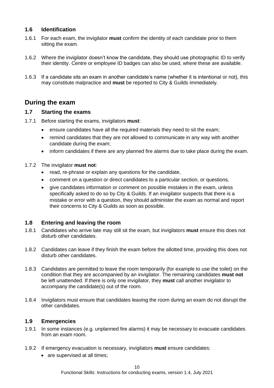#### <span id="page-14-1"></span>**1.6 Identification**

- 1.6.1 For each exam, the invigilator **must** confirm the identity of each candidate prior to them sitting the exam.
- <span id="page-14-4"></span>1.6.2 Where the invigilator doesn't know the candidate, they should use photographic ID to verify their identity. Centre or employee ID badges can also be used, where these are available.
- 1.6.3 If a candidate sits an exam in another candidate's name (whether it is intentional or not), this may constitute malpractice and **must** be reported to City & Guilds immediately.

#### **During the exam**

#### <span id="page-14-2"></span>**1.7 Starting the exams**

- 1.7.1 Before starting the exams, invigilators **must**:
	- ensure candidates have all the required materials they need to sit the exam;
	- remind candidates that they are not allowed to communicate in any way with another candidate during the exam;
	- inform candidates if there are any planned fire alarms due to take place during the exam.

#### 1.7.2 The invigilator **must not**:

- read, re-phrase or explain any questions for the candidate,
- comment on a question or direct candidates to a particular section, or questions,
- give candidates information or comment on possible mistakes in the exam, unless specifically asked to do so by City & Guilds. If an invigilator suspects that there is a mistake or error with a question, they should administer the exam as normal and report their concerns to City & Guilds as soon as possible.

#### <span id="page-14-3"></span>**1.8 Entering and leaving the room**

- <span id="page-14-5"></span>1.8.1 Candidates who arrive late may still sit the exam, but invigilators **must** ensure this does not disturb other candidates.
- 1.8.2 Candidates can leave if they finish the exam before the allotted time, providing this does not disturb other candidates.
- <span id="page-14-6"></span>1.8.3 Candidates are permitted to leave the room temporarily (for example to use the toilet) on the condition that they are accompanied by an invigilator. The remaining candidates **must not** be left unattended. If there is only one invigilator, they **must** call another invigilator to accompany the candidate(s) out of the room.
- 1.8.4 Invigilators must ensure that candidates leaving the room during an exam do not disrupt the other candidates.

#### <span id="page-14-0"></span>**1.9 Emergencies**

- 1.9.1 In some instances (e.g. unplanned fire alarms) it may be necessary to evacuate candidates from an exam room.
- 1.9.2 If emergency evacuation is necessary, invigilators **must** ensure candidates:
	- are supervised at all times;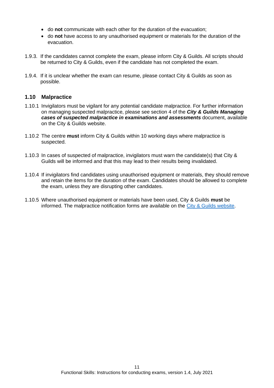- do **not** communicate with each other for the duration of the evacuation;
- do **not** have access to any unauthorised equipment or materials for the duration of the evacuation.
- <span id="page-15-0"></span>1.9.3. If the candidates cannot complete the exam, please inform City & Guilds. All scripts should be returned to City & Guilds, even if the candidate has not completed the exam.
- <span id="page-15-1"></span>1.9.4. If it is unclear whether the exam can resume, please contact City & Guilds as soon as possible.

#### <span id="page-15-2"></span>**1.10 Malpractice**

- 1.10.1 Invigilators must be vigilant for any potential candidate malpractice. For further information on managing suspected malpractice, please see section 4 of the *City & Guilds Managing cases of suspected malpractice in examinations and assessments* document, available on the City & Guilds website.
- 1.10.2 The centre **must** inform City & Guilds within 10 working days where malpractice is suspected.
- 1.10.3 In cases of suspected of malpractice, invigilators must warn the candidate(s) that City & Guilds will be informed and that this may lead to their results being invalidated.
- 1.10.4 If invigilators find candidates using unauthorised equipment or materials, they should remove and retain the items for the duration of the exam. Candidates should be allowed to complete the exam, unless they are disrupting other candidates.
- 1.10.5 Where unauthorised equipment or materials have been used, City & Guilds **must** be informed. The malpractice notification forms are available on the [City & Guilds website.](https://www.cityandguilds.com/delivering-our-qualifications/centre-development/centre-document-library)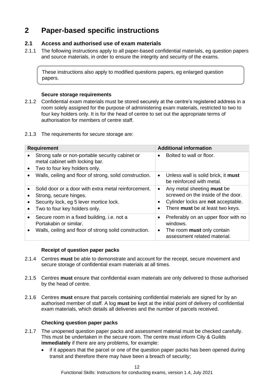## <span id="page-16-1"></span>**2 Paper-based specific instructions**

#### <span id="page-16-2"></span>**2.1 Access and authorised use of exam materials**

2.1.1 The following instructions apply to all paper-based confidential materials, eg question papers and source materials, in order to ensure the integrity and security of the exams.

These instructions also apply to modified questions papers, eg enlarged question papers.

#### **Secure storage requirements**

- 2.1.2 Confidential exam materials must be stored securely at the centre's registered address in a room solely assigned for the purpose of administering exam materials, restricted to two to four key holders only. It is for the head of centre to set out the appropriate terms of authorisation for members of centre staff.
- <span id="page-16-0"></span>2.1.3 The requirements for secure storage are:

|           | <b>Requirement</b>                                                                                                                                         | <b>Additional information</b> |                                                                                                                                            |  |
|-----------|------------------------------------------------------------------------------------------------------------------------------------------------------------|-------------------------------|--------------------------------------------------------------------------------------------------------------------------------------------|--|
| $\bullet$ | Strong safe or non-portable security cabinet or<br>metal cabinet with locking bar.<br>Two to four key holders only.                                        |                               | Bolted to wall or floor.                                                                                                                   |  |
| $\bullet$ | Walls, ceiling and floor of strong, solid construction.                                                                                                    | $\bullet$                     | Unless wall is solid brick, it must<br>be reinforced with metal.                                                                           |  |
|           | Solid door or a door with extra metal reinforcement.<br>Strong, secure hinges.<br>Security lock, eg 5 lever mortice lock.<br>Two to four key holders only. | $\bullet$<br>$\bullet$        | Any metal sheeting must be<br>screwed on the inside of the door.<br>Cylinder locks are not acceptable.<br>There must be at least two keys. |  |
| $\bullet$ | Secure room in a fixed building, i.e. not a<br>Portakabin or similar.<br>Walls, ceiling and floor of strong solid construction.                            | $\bullet$                     | Preferably on an upper floor with no<br>windows.<br>The room <b>must</b> only contain<br>assessment related material.                      |  |

#### **Receipt of question paper packs**

- 2.1.4 Centres **must** be able to demonstrate and account for the receipt, secure movement and secure storage of confidential exam materials at all times.
- 2.1.5 Centres **must** ensure that confidential exam materials are only delivered to those authorised by the head of centre.
- 2.1.6 Centres **must** ensure that parcels containing confidential materials are signed for by an authorised member of staff. A log **must** be kept at the initial point of delivery of confidential exam materials, which details all deliveries and the number of parcels received.

#### **Checking question paper packs**

- 2.1.7 The unopened question paper packs and assessment material must be checked carefully. This must be undertaken in the secure room. The centre must inform City & Guilds **immediately** if there are any problems, for example:
	- if it appears that the parcel or one of the question paper packs has been opened during transit and therefore there may have been a breach of security;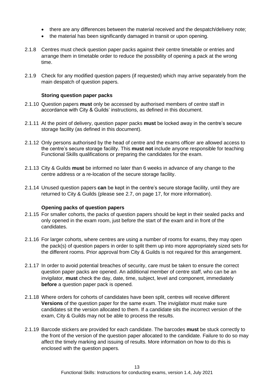- there are any differences between the material received and the despatch/delivery note:
- the material has been significantly damaged in transit or upon opening.
- 2.1.8 Centres must check question paper packs against their centre timetable or entries and arrange them in timetable order to reduce the possibility of opening a pack at the wrong time.
- 2.1.9 Check for any modified question papers (if requested) which may arrive separately from the main despatch of question papers.

#### **Storing question paper packs**

- 2.1.10 Question papers **must** only be accessed by authorised members of centre staff in accordance with City & Guilds' instructions, as defined in this document.
- 2.1.11 At the point of delivery, question paper packs **must** be locked away in the centre's secure storage facility (as defined in this document).
- 2.1.12 Only persons authorised by the head of centre and the exams officer are allowed access to the centre's secure storage facility. This **must not** include anyone responsible for teaching Functional Skills qualifications or preparing the candidates for the exam.
- 2.1.13 City & Guilds **must** be informed no later than 6 weeks in advance of any change to the centre address or a re-location of the secure storage facility.
- <span id="page-17-0"></span>2.1.14 Unused question papers **can** be kept in the centre's secure storage facility, until they are returned to City & Guilds (please see [2.7,](#page-21-0) on page [17,](#page-21-0) for more information).

#### **Opening packs of question papers**

- <span id="page-17-1"></span>2.1.15 For smaller cohorts, the packs of question papers should be kept in their sealed packs and only opened in the exam room, just before the start of the exam and in front of the candidates.
- 2.1.16 For larger cohorts, where centres are using a number of rooms for exams, they may open the pack(s) of question papers in order to split them up into more appropriately sized sets for the different rooms. Prior approval from City & Guilds is not required for this arrangement.
- 2.1.17 In order to avoid potential breaches of security, care must be taken to ensure the correct question paper packs are opened. An additional member of centre staff, who can be an invigilator, **must** check the day, date, time, subject, level and component, immediately **before** a question paper pack is opened.
- 2.1.18 Where orders for cohorts of candidates have been split, centres will receive different **[Versions](#page-31-3)** of the question paper for the same exam. The invigilator must make sure candidates sit the version allocated to them. If a candidate sits the incorrect version of the exam, City & Guilds may not be able to process the results.
- 2.1.19 Barcode stickers are provided for each candidate. The barcodes **must** be stuck correctly to the front of the version of the question paper allocated to the candidate. Failure to do so may affect the timely marking and issuing of results. More information on how to do this is enclosed with the question papers.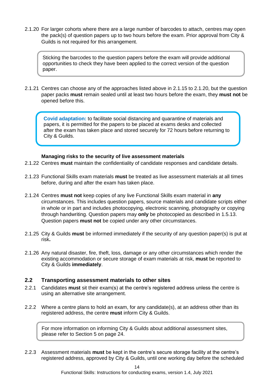<span id="page-18-1"></span>2.1.20 For larger cohorts where there are a large number of barcodes to attach, centres may open the pack(s) of question papers up to two hours before the exam. Prior approval from City & Guilds is not required for this arrangement.

Sticking the barcodes to the question papers before the exam will provide additional opportunities to check they have been applied to the correct version of the question paper.

<span id="page-18-3"></span>2.1.21 Centres can choose any of the approaches listed above in [2.1.15](#page-17-1) to [2.1.20,](#page-18-1) but the question paper packs **must** remain sealed until at least two hours before the exam, they **must not** be opened before this.

**Covid adaptation:** to facilitate social distancing and quarantine of materials and papers, it is permitted for the papers to be placed at exams desks and collected after the exam has taken place and stored securely for 72 hours before returning to City & Guilds.

#### **Managing risks to the security of live assessment materials**

- 2.1.22 Centres **must** maintain the confidentiality of candidate responses and candidate details.
- 2.1.23 Functional Skills exam materials **must** be treated as live assessment materials at all times before, during and after the exam has taken place.
- 2.1.24 Centres **must not** keep copies of any live Functional Skills exam material in **any** circumstances. This includes question papers, source materials and candidate scripts either in whole or in part and includes photocopying, electronic scanning, photography or copying through handwriting. Question papers may **only** be photocopied as described in [1.5.13.](#page-13-0) Question papers **must not** be copied under any other circumstances.
- 2.1.25 City & Guilds **must** be informed immediately if the security of any question paper(s) is put at risk**.**
- 2.1.26 Any natural disaster, fire, theft, loss, damage or any other circumstances which render the existing accommodation or secure storage of exam materials at risk, **must** be reported to City & Guilds **immediately**.

#### <span id="page-18-0"></span>**2.2 Transporting assessment materials to other sites**

- 2.2.1 Candidates **must** sit their exam(s) at the centre's registered address unless the centre is using an alternative site arrangement.
- 2.2.2 Where a centre plans to hold an exam, for any candidate(s), at an address other than its registered address, the centre **must** inform City & Guilds.

For more information on informing City & Guilds about additional assessment sites, please refer to Section [5](#page-28-0) on page [24.](#page-28-1)

<span id="page-18-2"></span>2.2.3 Assessment materials **must** be kept in the centre's secure storage facility at the centre's registered address, approved by City & Guilds, until one working day before the scheduled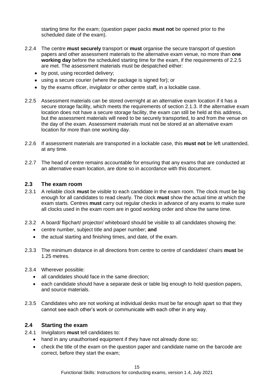starting time for the exam; (question paper packs **must not** be opened prior to the scheduled date of the exam).

- <span id="page-19-0"></span>2.2.4 The centre **must securely** transport or **must** organise the secure transport of question papers and other assessment materials to the alternative exam venue, no more than **one working day** before the scheduled starting time for the exam, if the requirements of [2.2.5](#page-19-4) are met. The assessment materials must be despatched either:
	- by post, using recorded delivery;
	- using a secure courier (where the package is signed for); or
	- by the exams officer, invigilator or other centre staff, in a lockable case.
- <span id="page-19-4"></span>2.2.5 Assessment materials can be stored overnight at an alternative exam location if it has a secure storage facility, which meets the requirements of section [2.1.3.](#page-16-0) If the alternative exam location does not have a secure storage facility, the exam can still be held at this address, but the assessment materials will need to be securely transported, to and from the venue on the day of the exam. Assessment materials must not be stored at an alternative exam location for more than one working day.
- 2.2.6 If assessment materials are transported in a lockable case, this **must not** be left unattended, at any time.
- 2.2.7 The head of centre remains accountable for ensuring that any exams that are conducted at an alternative exam location, are done so in accordance with this document.

#### <span id="page-19-2"></span>**2.3 The exam room**

- <span id="page-19-6"></span>2.3.1 A reliable clock **must** be visible to each candidate in the exam room. The clock must be big enough for all candidates to read clearly. The clock **must** show the actual time at which the exam starts. Centres **must** carry out regular checks in advance of any exams to make sure all clocks used in the exam room are in good working order and show the same time.
- <span id="page-19-7"></span>2.3.2 A board/ flipchart/ projector/ whiteboard should be visible to all candidates showing the:
	- centre number, subject title and paper number; **and**
	- the actual starting and finishing times, and date, of the exam.
- <span id="page-19-3"></span>2.3.3 The minimum distance in all directions from centre to centre of candidates' chairs **must** be 1.25 metres.
- <span id="page-19-5"></span>2.3.4 Wherever possible:
	- all candidates should face in the same direction;
	- each candidate should have a separate desk or table big enough to hold question papers, and source materials.
- 2.3.5 Candidates who are not working at individual desks must be far enough apart so that they cannot see each other's work or communicate with each other in any way.

#### <span id="page-19-1"></span>**2.4 Starting the exam**

- 2.4.1 Invigilators **must** tell candidates to:
	- hand in any unauthorised equipment if they have not already done so;
	- check the title of the exam on the question paper and candidate name on the barcode are correct, before they start the exam;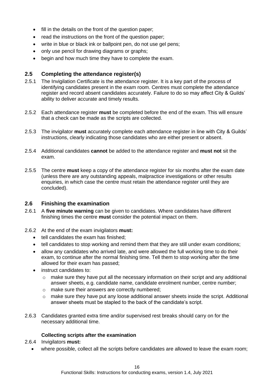- fill in the details on the front of the question paper;
- read the instructions on the front of the question paper;
- write in blue or black ink or ballpoint pen, do not use gel pens;
- only use pencil for drawing diagrams or graphs;
- begin and how much time they have to complete the exam.

#### <span id="page-20-2"></span>**2.5 Completing the attendance register(s)**

- 2.5.1 The Invigilation Certificate is the attendance register. It is a key part of the process of identifying candidates present in the exam room. Centres must complete the attendance register and record absent candidates accurately. Failure to do so may affect City & Guilds' ability to deliver accurate and timely results.
- 2.5.2 Each attendance register **must** be completed before the end of the exam. This will ensure that a check can be made as the scripts are collected.
- 2.5.3 The invigilator **must** accurately complete each attendance register in line with City & Guilds' instructions, clearly indicating those candidates who are either present or absent.
- 2.5.4 Additional candidates **cannot** be added to the attendance register and **must not** sit the exam.
- 2.5.5 The centre **must** keep a copy of the attendance register for six months after the exam date (unless there are any outstanding appeals, malpractice investigations or other results enquiries, in which case the centre must retain the attendance register until they are concluded).

#### <span id="page-20-1"></span>**2.6 Finishing the examination**

- <span id="page-20-3"></span>2.6.1 A **five minute warning** can be given to candidates. Where candidates have different finishing times the centre **must** consider the potential impact on them.
- <span id="page-20-4"></span>2.6.2 At the end of the exam invigilators **must:**
	- tell candidates the exam has finished;
	- tell candidates to stop working and remind them that they are still under exam conditions;
	- allow any candidates who arrived late, and were allowed the full working time to do their exam, to continue after the normal finishing time. Tell them to stop working after the time allowed for their exam has passed;
	- instruct candidates to:
		- o make sure they have put all the necessary information on their script and any additional answer sheets, e.g. candidate name, candidate enrolment number, centre number;
		- o make sure their answers are correctly numbered;
		- $\circ$  make sure they have put any loose additional answer sheets inside the script. Additional answer sheets must be stapled to the back of the candidate's script.
- 2.6.3 Candidates granted extra time and/or supervised rest breaks should carry on for the necessary additional time.

#### **Collecting scripts after the examination**

#### <span id="page-20-0"></span>2.6.4 Invigilators **must:**

• where possible, collect all the scripts before candidates are allowed to leave the exam room;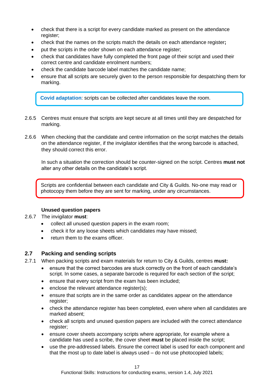- check that there is a script for every candidate marked as present on the attendance register;
- check that the names on the scripts match the details on each attendance register**;**
- put the scripts in the order shown on each attendance register;
- check that candidates have fully completed the front page of their script and used their correct centre and candidate enrolment numbers;
- check the candidate barcode label matches the candidate name;
- ensure that all scripts are securely given to the person responsible for despatching them for marking.

**Covid adaptation**: scripts can be collected after candidates leave the room.

- 2.6.5 Centres must ensure that scripts are kept secure at all times until they are despatched for marking.
- 2.6.6 When checking that the candidate and centre information on the script matches the details on the attendance register, if the invigilator identifies that the wrong barcode is attached, they should correct this error.

In such a situation the correction should be counter-signed on the script. Centres **must not** alter any other details on the candidate's script.

Scripts are confidential between each candidate and City & Guilds. No-one may read or photocopy them before they are sent for marking, under any circumstances.

#### **Unused question papers**

#### 2.6.7 The invigilator **must**:

- collect all unused question papers in the exam room;
- check it for any loose sheets which candidates may have missed;
- return them to the exams officer.

#### <span id="page-21-0"></span>**2.7 Packing and sending scripts**

- 2.7.1 When packing scripts and exam materials for return to City & Guilds, centres **must:**
	- ensure that the correct barcodes are stuck correctly on the front of each candidate's script. In some cases, a separate barcode is required for each section of the script;
	- ensure that every script from the exam has been included:
	- enclose the relevant attendance register(s);
	- ensure that scripts are in the same order as candidates appear on the attendance register;
	- check the attendance register has been completed, even where when all candidates are marked absent;
	- check all scripts and unused question papers are included with the correct attendance register;
	- ensure cover sheets accompany scripts where appropriate, for example where a candidate has used a scribe, the cover sheet **must** be placed inside the script;
	- use the pre-addressed labels. Ensure the correct label is used for each component and that the most up to date label is always used – do not use photocopied labels;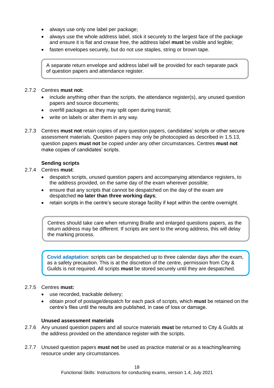- always use only one label per package:
- always use the whole address label, stick it securely to the largest face of the package and ensure it is flat and crease free, the address label **must** be visible and legible;
- fasten envelopes securely, but do not use staples, string or brown tape.

A separate return envelope and address label will be provided for each separate pack of question papers and attendance register.

#### 2.7.2 Centres **must not:**

- include anything other than the scripts, the attendance register(s), any unused question papers and source documents;
- overfill packages as they may split open during transit;
- write on labels or alter them in any way.
- 2.7.3 Centres **must not** retain copies of any question papers, candidates' scripts or other secure assessment materials. Question papers may only be photocopied as described in [1.5.13,](#page-13-0) question papers **must not** be copied under any other circumstances. Centres **must not**  make copies of candidates' scripts.

#### **Sending scripts**

#### <span id="page-22-0"></span>2.7.4 Centres **must**:

- despatch scripts, unused question papers and accompanying attendance registers, to the address provided, on the same day of the exam wherever possible;
- ensure that any scripts that cannot be despatched on the day of the exam are despatched **no later than three working days**;
- retain scripts in the centre's secure storage facility if kept within the centre overnight.

Centres should take care when returning Braille and enlarged questions papers, as the return address may be different. If scripts are sent to the wrong address, this will delay the marking process.

**Covid adaptation**: scripts can be despatched up to three calendar days after the exam, as a safety precaution. This is at the discretion of the centre, permission from City & Guilds is not required. All scripts **must** be stored securely until they are despatched.

#### <span id="page-22-1"></span>2.7.5 Centres **must:**

- use recorded, trackable delivery;
- obtain proof of postage/despatch for each pack of scripts, which **must** be retained on the centre's files until the results are published, in case of loss or damage.

#### **Unused assessment materials**

- <span id="page-22-2"></span>2.7.6 Any unused question papers and all source materials **must** be returned to City & Guilds at the address provided on the attendance register with the scripts.
- 2.7.7 Unused question papers **must not** be used as practice material or as a teaching/learning resource under any circumstances.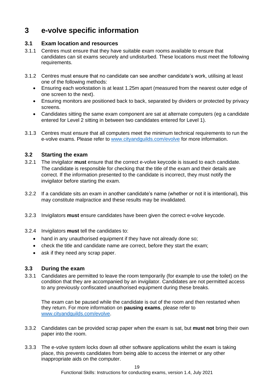## <span id="page-23-0"></span>**3 e-volve specific information**

#### <span id="page-23-1"></span>**3.1 Exam location and resources**

- 3.1.1 Centres must ensure that they have suitable exam rooms available to ensure that candidates can sit exams securely and undisturbed. These locations must meet the following requirements.
- <span id="page-23-4"></span>3.1.2 Centres must ensure that no candidate can see another candidate's work, utilising at least one of the following methods:
	- Ensuring each workstation is at least 1.25m apart (measured from the nearest outer edge of one screen to the next).
	- Ensuring monitors are positioned back to back, separated by dividers or protected by privacy screens.
	- Candidates sitting the same exam component are sat at alternate computers (eg a candidate entered for Level 2 sitting in between two candidates entered for Level 1).
- 3.1.3 Centres must ensure that all computers meet the minimum technical requirements to run the e-volve exams. Please refer to [www.cityandguilds.com/evolve](http://www.cityandguilds.com/evolve) for more information.

#### <span id="page-23-2"></span>**3.2 Starting the exam**

- <span id="page-23-5"></span>3.2.1 The invigilator **must** ensure that the correct e-volve keycode is issued to each candidate. The candidate is responsible for checking that the title of the exam and their details are correct. If the information presented to the candidate is incorrect, they must notify the invigilator before starting the exam.
- 3.2.2 If a candidate sits an exam in another candidate's name (whether or not it is intentional), this may constitute malpractice and these results may be invalidated.
- 3.2.3 Invigilators **must** ensure candidates have been given the correct e-volve keycode.
- 3.2.4 Invigilators **must** tell the candidates to:
	- hand in any unauthorised equipment if they have not already done so;
	- check the title and candidate name are correct, before they start the exam;
	- ask if they need any scrap paper.

#### <span id="page-23-3"></span>**3.3 During the exam**

3.3.1 Candidates are permitted to leave the room temporarily (for example to use the toilet) on the condition that they are accompanied by an invigilator. Candidates are not permitted access to any previously confiscated unauthorised equipment during these breaks.

The exam can be paused while the candidate is out of the room and then restarted when they return. For more information on **pausing exams**, please refer to [www.cityandguilds.com/evolve.](http://www.cityandguilds.com/evolve)

- 3.3.2 Candidates can be provided scrap paper when the exam is sat, but **must not** bring their own paper into the room.
- 3.3.3 The e-volve system locks down all other software applications whilst the exam is taking place, this prevents candidates from being able to access the internet or any other inappropriate aids on the computer.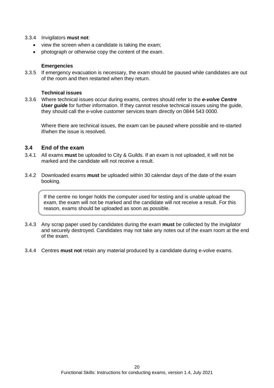#### 3.3.4 Invigilators **must not**:

- view the screen when a candidate is taking the exam;
- photograph or otherwise copy the content of the exam.

#### **Emergencies**

3.3.5 If emergency evacuation is necessary, the exam should be paused while candidates are out of the room and then restarted when they return.

#### **Technical issues**

3.3.6 Where technical issues occur during exams, centres should refer to the *e-volve Centre User guide* for further information. If they cannot resolve technical issues using the guide, they should call the e-volve customer services team directly on 0844 543 0000.

Where there are technical issues, the exam can be paused where possible and re-started if/when the issue is resolved.

#### <span id="page-24-0"></span>**3.4 End of the exam**

- 3.4.1 All exams **must** be uploaded to City & Guilds. If an exam is not uploaded, it will not be marked and the candidate will not receive a result.
- 3.4.2 Downloaded exams **must** be uploaded within 30 calendar days of the date of the exam booking.

If the centre no longer holds the computer used for testing and is unable upload the exam, the exam will not be marked and the candidate will not receive a result. For this reason, exams should be uploaded as soon as possible.

- 3.4.3 Any scrap paper used by candidates during the exam **must** be collected by the invigilator and securely destroyed. Candidates may not take any notes out of the exam room at the end of the exam.
- 3.4.4 Centres **must not** retain any material produced by a candidate during e-volve exams.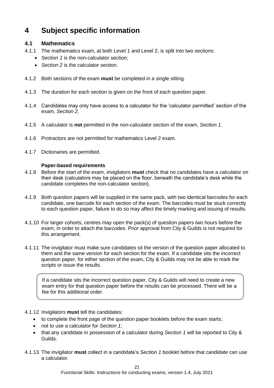## <span id="page-25-3"></span>**4 Subject specific information**

#### <span id="page-25-0"></span>**4.1 Mathematics**

- 4.1.1 The mathematics exam, at both Level 1 and Level 2, is split into two sections:
	- *Section 1* is the non-calculator section;
	- *Section 2* is the calculator section.
- 4.1.2 Both sections of the exam **must** be completed in a single sitting.
- 4.1.3 The duration for each section is given on the front of each question paper.
- 4.1.4 Candidates may only have access to a calculator for the 'calculator permitted' section of the exam, *Section 2*.
- 4.1.5 A calculator is **not** permitted in the non-calculator section of the exam, *Section 1*.
- 4.1.6 Protractors are not permitted for mathematics Level 2 exam.
- <span id="page-25-1"></span>4.1.7 Dictionaries are permitted.

#### **Paper-based requirements**

- 4.1.8 Before the start of the exam, invigilators **must** check that no candidates have a calculator on their desk (calculators may be placed on the floor, beneath the candidate's desk while the candidate completes the non-calculator section).
- 4.1.9 Both question papers will be supplied in the same pack, with two identical barcodes for each candidate, one barcode for each section of the exam. The barcodes must be stuck correctly to each question paper, failure to do so may affect the timely marking and issuing of results.
- 4.1.10 For larger cohorts, centres may open the pack(s) of question papers two hours before the exam, in order to attach the barcodes. Prior approval from City & Guilds is not required for this arrangement.
- <span id="page-25-2"></span>4.1.11 The invigilator must make sure candidates sit the version of the question paper allocated to them and the same version for each section for the exam. If a candidate sits the incorrect question paper, for either section of the exam, City & Guilds may not be able to mark the scripts or issue the results.

If a candidate sits the incorrect question paper, City & Guilds will need to create a new exam entry for that question paper before the results can be processed. There will be a fee for this additional order.

- 4.1.12 Invigilators **must** tell the candidates:
	- to complete the front page of the question paper booklets before the exam starts;
	- not to use a calculator for *Section 1*;
	- that any candidate in possession of a calculator during *Section 1* will be reported to City & Guilds.
- 4.1.13 The invigilator **must** collect in a candidate's *Section 1* booklet before that candidate can use a calculator.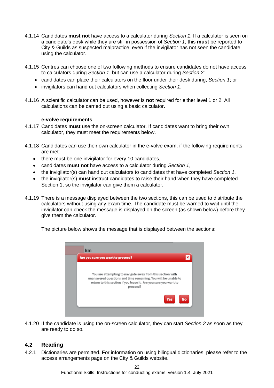- 4.1.14 Candidates **must not** have access to a calculator during *Section 1*. If a calculator is seen on a candidate's desk while they are still in possession of *Section 1*, this **must** be reported to City & Guilds as suspected malpractice, even if the invigilator has not seen the candidate using the calculator.
- 4.1.15 Centres can choose one of two following methods to ensure candidates do not have access to calculators during *Section 1*, but can use a calculator during *Section 2*:
	- candidates can place their calculators on the floor under their desk during, *Section 1*; or
	- invigilators can hand out calculators when collecting *Section 1*.
- <span id="page-26-1"></span>4.1.16 A scientific calculator can be used, however is **not** required for either level 1 or 2. All calculations can be carried out using a basic calculator.

#### **e-volve requirements**

- <span id="page-26-2"></span>4.1.17 Candidates **must** use the on-screen calculator. If candidates want to bring their own calculator, they must meet the requirements below.
- <span id="page-26-0"></span>4.1.18 Candidates can use their own calculator in the e-volve exam, if the following requirements are met:
	- there must be one invigilator for every 10 candidates,
	- candidates **must not** have access to a calculator during *Section 1*,
	- the invigilator(s) can hand out calculators to candidates that have completed *Section 1*,
	- the invigilator(s) **must** instruct candidates to raise their hand when they have completed Section 1, so the invigilator can give them a calculator.
- 4.1.19 There is a message displayed between the two sections, this can be used to distribute the calculators without using any exam time. The candidate must be warned to wait until the invigilator can check the message is displayed on the screen (as shown below) before they give them the calculator.

The picture below shows the message that is displayed between the sections:



4.1.20 If the candidate is using the on-screen calculator, they can start *Section 2* as soon as they are ready to do so.

#### <span id="page-26-3"></span>**4.2 Reading**

4.2.1 Dictionaries are permitted. For information on using bilingual dictionaries, please refer to the access arrangements page on the City & Guilds website.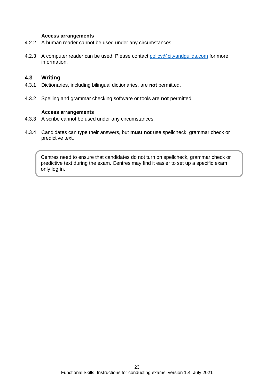#### **Access arrangements**

- 4.2.2 A human reader cannot be used under any circumstances.
- 4.2.3 A computer reader can be used. Please contact [policy@cityandguilds.com](mailto:policy@cityandguilds.com) for more information.

#### <span id="page-27-1"></span>**4.3 Writing**

- 4.3.1 Dictionaries, including bilingual dictionaries, are **not** permitted.
- 4.3.2 Spelling and grammar checking software or tools are **not** permitted.

#### **Access arrangements**

- 4.3.3 A scribe cannot be used under any circumstances.
- <span id="page-27-0"></span>4.3.4 Candidates can type their answers, but **must not** use spellcheck, grammar check or predictive text.

Centres need to ensure that candidates do not turn on spellcheck, grammar check or predictive text during the exam. Centres may find it easier to set up a specific exam only log in.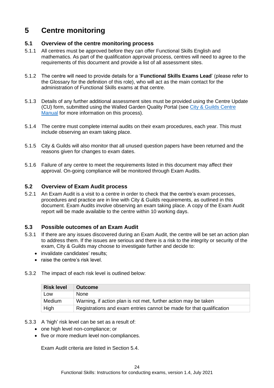## <span id="page-28-0"></span>**5 Centre monitoring**

#### <span id="page-28-1"></span>**5.1 Overview of the centre monitoring process**

- 5.1.1 All centres must be approved before they can offer Functional Skills English and mathematics. As part of the qualification approval process, centres will need to agree to the requirements of this document and provide a list of all assessment sites.
- 5.1.2 The centre will need to provide details for a '**[Functional Skills](#page-31-4) Exams Lead**' (please refer to the [Glossary](#page-31-1) for the definition of this role), who will act as the main contact for the administration of Functional Skills exams at that centre.
- 5.1.3 Details of any further additional assessment sites must be provided using the Centre Update (CU) form, submitted using the Walled Garden Quality Portal (see [City & Guilds Centre](https://www.cityandguilds.com/~/media/cityandguilds-site/documents/what-we-offer/centres/centre%20document%20library/quality-assurance-documents/centre-manual%20pdf.ashx)  [Manual](https://www.cityandguilds.com/~/media/cityandguilds-site/documents/what-we-offer/centres/centre%20document%20library/quality-assurance-documents/centre-manual%20pdf.ashx) for more information on this process).
- 5.1.4 The centre must complete internal audits on their exam procedures, each year. This must include observing an exam taking place.
- 5.1.5 City & Guilds will also monitor that all unused question papers have been returned and the reasons given for changes to exam dates.
- 5.1.6 Failure of any centre to meet the requirements listed in this document may affect their approval. On-going compliance will be monitored through Exam Audits.

#### <span id="page-28-2"></span>**5.2 Overview of Exam Audit process**

5.2.1 An Exam Audit is a visit to a centre in order to check that the centre's exam processes, procedures and practice are in line with City & Guilds requirements, as outlined in this document. Exam Audits involve observing an exam taking place. A copy of the Exam Audit report will be made available to the centre within 10 working days.

#### <span id="page-28-3"></span>**5.3 Possible outcomes of an Exam Audit**

- 5.3.1 If there are any issues discovered during an Exam Audit, the centre will be set an action plan to address them. If the issues are serious and there is a risk to the integrity or security of the exam, City & Guilds may choose to investigate further and decide to:
	- invalidate candidates' results;
	- raise the centre's risk level.
- 5.3.2 The impact of each risk level is outlined below:

| <b>Risk level</b> | <b>Outcome</b>                                                       |
|-------------------|----------------------------------------------------------------------|
| Low               | <b>None</b>                                                          |
| Medium            | Warning, if action plan is not met, further action may be taken      |
| High              | Registrations and exam entries cannot be made for that qualification |

- 5.3.3 A 'high' risk level can be set as a result of:
	- one high level non-compliance; or
	- five or more medium level non-compliances.

Exam Audit criteria are listed in Section [5.4.](#page-29-0)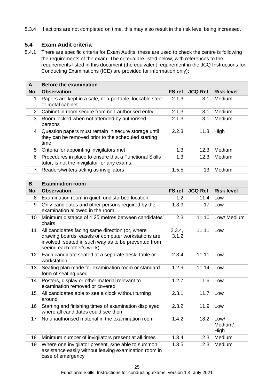5.3.4 If actions are not completed on time, this may also result in the risk level being increased.

#### <span id="page-29-0"></span>**5.4 Exam Audit criteria**

5.4.1 There are specific criteria for Exam Audits, these are used to check the centre is following the requirements of the exam. The criteria are listed below, with references to the requirements listed in this document (the equivalent requirement in the JCQ Instructions for Conducting Examinations (ICE) are provided for information only):

| А.                    | <b>Before the examination</b>                                                                                      |               |                |                   |
|-----------------------|--------------------------------------------------------------------------------------------------------------------|---------------|----------------|-------------------|
| <b>No</b>             | <b>Observation</b>                                                                                                 | <b>FS</b> ref | <b>JCQ Ref</b> | <b>Risk level</b> |
| 1                     | Papers are kept in a safe, non-portable, lockable steel<br>or metal cabinet                                        | 2.1.3         | 3.1            | Medium            |
| $\mathbf{2}^{\prime}$ | Cabinet in room secure from non-authorised entry                                                                   | 2.1.3         | 3.1            | Medium            |
| 3                     | Room locked when not attended by authorised<br>persons                                                             | 2.1.3         | 3.1            | Medium            |
| 4                     | Question papers must remain in secure storage until<br>they can be removed prior to the scheduled starting<br>time | 2.2.3         | 11.3           | High              |
| 5                     | Criteria for appointing invigilators met                                                                           | 1.3           | 12.3           | Medium            |
| 6                     | Procedures in place to ensure that a Functional Skills<br>tutor, is not the invigilator for any exams.             | 1.3           | 12.3           | Medium            |
| 7                     | Readers/writers acting as invigilators                                                                             | 1.5.5         | 13             | Medium            |

| <b>B.</b> | <b>Examination room</b>                                                                                                                                                                     |                 |                |                         |
|-----------|---------------------------------------------------------------------------------------------------------------------------------------------------------------------------------------------|-----------------|----------------|-------------------------|
| <b>No</b> | <b>Observation</b>                                                                                                                                                                          | <b>FS</b> ref   | <b>JCQ Ref</b> | <b>Risk level</b>       |
| 8         | Examination room in quiet, undisturbed location                                                                                                                                             | 1.2             | 11.4           | Low                     |
| 9         | Only candidates and other persons required by the<br>examination allowed in the room                                                                                                        | 1.3.9           | 17             | Low                     |
| 10        | Minimum distance of 1.25 metres between candidates'<br>chairs                                                                                                                               | 2.3             | 11.10          | Low/ Medium             |
| 11        | All candidates facing same direction (or, where<br>drawing boards, easels or computer workstations are<br>involved, seated in such way as to be prevented from<br>seeing each other's work) | 2.3.4,<br>3.1.2 | 11.11          | Low                     |
| 12        | Each candidate seated at a separate desk, table or<br>workstation                                                                                                                           | 2.3.4           | 11.11          | Low                     |
| 13        | Seating plan made for examination room or standard<br>form of seating used                                                                                                                  | 1.2.9           | 11.14          | Low                     |
| 14        | Posters, display or other material relevant to<br>examination removed or covered                                                                                                            | 1.2.7           | 11.6           | Low                     |
| 15        | All candidates able to see a clock without turning<br>around                                                                                                                                | 2.3.1           | 11.7           | Low                     |
| 16        | Starting and finishing times of examination displayed<br>where all candidates could see them                                                                                                | 2.3.2           | 11.9           | Low                     |
| 17        | No unauthorised material in the examination room                                                                                                                                            | 1.4.2           | 18.2           | Low/<br>Medium/<br>High |
| 18        | Minimum number of invigilators present at all times                                                                                                                                         | 1.3.4           | 12.3           | Medium                  |
| 19        | Where one invigilator present, s/he able to summon<br>assistance easily without leaving examination room in<br>case of emergency                                                            | 1.3.5           | 12.3           | Medium                  |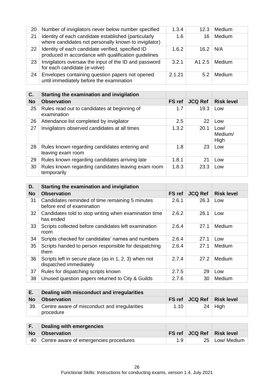| 20 | Number of invigilators never below number specified                                                           | 1.3.4  | 12.3   | Medium |
|----|---------------------------------------------------------------------------------------------------------------|--------|--------|--------|
| 21 | Identity of each candidate established (particularly<br>where candidates not personally known to invigilator) | 1.6    | 16     | Medium |
| 22 | Identity of each candidate verified, specified ID<br>produced in accordance with qualification guidelines     | 1.6.2  | 16.2   | N/A    |
| 23 | Invigilators oversaw the input of the ID and password<br>for each candidate (e-volve)                         | 3.2.1  | A1 2.5 | Medium |
| 24 | Envelopes containing question papers not opened<br>until immediately before the examination                   | 2.1.21 | 5.2    | Medium |

| C.        | Starting the examination and invigilation                          |               |                |                         |
|-----------|--------------------------------------------------------------------|---------------|----------------|-------------------------|
| <b>No</b> | <b>Observation</b>                                                 | <b>FS</b> ref | <b>JCQ Ref</b> | <b>Risk level</b>       |
| 25        | Rules read out to candidates at beginning of<br>examination        | 1.7           | 19.3           | Low                     |
| 26        | Attendance list completed by invigilator                           | 2.5           | 22             | Low                     |
| 27        | Invigilators observed candidates at all times                      | 1.3.2         | 20.1           | Low/<br>Medium/<br>High |
| 28        | Rules known regarding candidates entering and<br>leaving exam room | 1.8           | 23             | Low                     |
| 29        | Rules known regarding candidates arriving late                     | 1.8.1         | 21             | Low                     |
| 30        | Rules known regarding candidates leaving exam room<br>temporarily  | 1.8.3         | 23.3           | Low                     |

| D.        | Starting the examination and invigilation                                       |               |                |                   |
|-----------|---------------------------------------------------------------------------------|---------------|----------------|-------------------|
| <b>No</b> | <b>Observation</b>                                                              | <b>FS</b> ref | <b>JCQ Ref</b> | <b>Risk level</b> |
| 31        | Candidates reminded of time remaining 5 minutes<br>before end of examination    | 2.6.1         | 26.3           | Low               |
| 32        | Candidates told to stop writing when examination time<br>has ended              | 2.6.2         | 26.1           | Low               |
| 33        | Scripts collected before candidates left examination<br>room                    | 2.6.4         | 27.1           | Medium            |
| 34        | Scripts checked for candidates' names and numbers                               | 2.6.4         | 27.1           | Low               |
| 35        | Scripts handed to person responsible for despatching<br>them                    | 2.6.4         | 27.1           | Medium            |
| 36        | Scripts left in secure place (as in 1, 2, 3) when not<br>dispatched immediately | 2.7.4         | 27.2           | Medium            |
| 37        | Rules for dispatching scripts known                                             | 2.7.5         | 29             | Low               |
| 38        | Unused question papers returned to City & Guilds                                | 2.7.6         | 30             | Medium            |

| Е.        | Dealing with misconduct and irregularities                 |        |                |            |
|-----------|------------------------------------------------------------|--------|----------------|------------|
| <b>No</b> | <b>Observation</b>                                         | FS ref | <b>JCQ Ref</b> | Risk level |
| 39.       | Centre aware of misconduct and irregularities<br>procedure | 1.10   |                | $24$ High  |

|           | Dealing with emergencies                  |     |                               |
|-----------|-------------------------------------------|-----|-------------------------------|
| <b>No</b> | <b>Observation</b>                        |     | FS ref   JCQ Ref   Risk level |
|           | 40 Centre aware of emergencies procedures | 1.9 | 25   Low/ Medium              |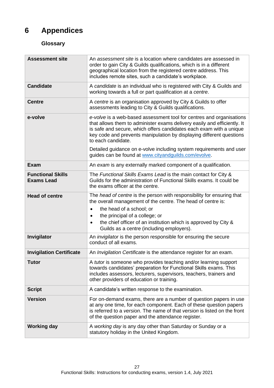## <span id="page-31-0"></span>**6 Appendices**

#### <span id="page-31-1"></span>**Glossary**

<span id="page-31-4"></span><span id="page-31-3"></span><span id="page-31-2"></span>

| <b>Assessment site</b>                        | An assessment site is a location where candidates are assessed in<br>order to gain City & Guilds qualifications, which is in a different<br>geographical location from the registered centre address. This<br>includes remote sites, such a candidate's workplace.                                                                                                                           |
|-----------------------------------------------|----------------------------------------------------------------------------------------------------------------------------------------------------------------------------------------------------------------------------------------------------------------------------------------------------------------------------------------------------------------------------------------------|
| <b>Candidate</b>                              | A candidate is an individual who is registered with City & Guilds and<br>working towards a full or part qualification at a centre.                                                                                                                                                                                                                                                           |
| <b>Centre</b>                                 | A centre is an organisation approved by City & Guilds to offer<br>assessments leading to City & Guilds qualifications.                                                                                                                                                                                                                                                                       |
| e-volve                                       | e-volve is a web-based assessment tool for centres and organisations<br>that allows them to administer exams delivery easily and efficiently. It<br>is safe and secure, which offers candidates each exam with a unique<br>key code and prevents manipulation by displaying different questions<br>to each candidate.<br>Detailed guidance on e-volve including system requirements and user |
|                                               | guides can be found at www.cityandguilds.com/evolve.                                                                                                                                                                                                                                                                                                                                         |
| <b>Exam</b>                                   | An exam is any externally marked component of a qualification.                                                                                                                                                                                                                                                                                                                               |
| <b>Functional Skills</b><br><b>Exams Lead</b> | The Functional Skills Exams Lead is the main contact for City &<br>Guilds for the administration of Functional Skills exams. It could be<br>the exams officer at the centre.                                                                                                                                                                                                                 |
| <b>Head of centre</b>                         | The head of centre is the person with responsibility for ensuring that<br>the overall management of the centre. The head of centre is:                                                                                                                                                                                                                                                       |
|                                               | the head of a school; or<br>$\bullet$<br>the principal of a college; or<br>$\bullet$                                                                                                                                                                                                                                                                                                         |
|                                               | the chief officer of an institution which is approved by City &<br>$\bullet$<br>Guilds as a centre (including employers).                                                                                                                                                                                                                                                                    |
| Invigilator                                   | An <i>invigilator</i> is the person responsible for ensuring the secure<br>conduct of all exams.                                                                                                                                                                                                                                                                                             |
| <b>Invigilation Certificate</b>               | An Invigilation Certificate is the attendance register for an exam.                                                                                                                                                                                                                                                                                                                          |
| <b>Tutor</b>                                  | A tutor is someone who provides teaching and/or learning support<br>towards candidates' preparation for Functional Skills exams. This<br>includes assessors, lecturers, supervisors, teachers, trainers and<br>other providers of education or training.                                                                                                                                     |
| <b>Script</b>                                 | A candidate's written response to the examination.                                                                                                                                                                                                                                                                                                                                           |
| <b>Version</b>                                | For on-demand exams, there are a number of question papers in use<br>at any one time, for each component. Each of these question papers<br>is referred to a version. The name of that version is listed on the front<br>of the question paper and the attendance register.                                                                                                                   |
| <b>Working day</b>                            | A working day is any day other than Saturday or Sunday or a<br>statutory holiday in the United Kingdom.                                                                                                                                                                                                                                                                                      |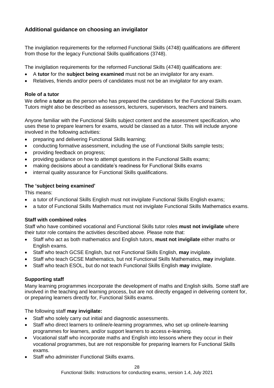#### <span id="page-32-0"></span>**Additional guidance on choosing an invigilator**

The invigilation requirements for the reformed Functional Skills (4748) qualifications are different from those for the legacy Functional Skills qualifications (3748).

The invigilation requirements for the reformed Functional Skills (4748) qualifications are:

- A **tutor** for the **subject being examined** must not be an invigilator for any exam.
- Relatives, friends and/or peers of candidates must not be an invigilator for any exam.

#### **Role of a tutor**

We define a **tutor** as the person who has prepared the candidates for the Functional Skills exam. Tutors might also be described as assessors, lecturers, supervisors, teachers and trainers.

Anyone familiar with the Functional Skills subject content and the assessment specification, who uses these to prepare learners for exams, would be classed as a tutor. This will include anyone involved in the following activities:

- preparing and delivering Functional Skills learning;
- conducting formative assessment, including the use of Functional Skills sample tests;
- providing feedback on progress;
- providing guidance on how to attempt questions in the Functional Skills exams;
- making decisions about a candidate's readiness for Functional Skills exams
- internal quality assurance for Functional Skills qualifications.

#### **The 'subject being examined'**

This means:

- a tutor of Functional Skills English must not invigilate Functional Skills English exams;
- a tutor of Functional Skills Mathematics must not invigilate Functional Skills Mathematics exams.

#### **Staff with combined roles**

Staff who have combined vocational and Functional Skills tutor roles **must not invigilate** where their tutor role contains the activities described above. Please note that:

- Staff who act as both mathematics and English tutors, **must not invigilate** either maths or English exams.
- Staff who teach GCSE English, but not Functional Skills English, **may** invigilate.
- Staff who teach GCSE Mathematics, but not Functional Skills Mathematics, **may** invigilate.
- Staff who teach ESOL, but do not teach Functional Skills English **may** invigilate.

#### **Supporting staff**

Many learning programmes incorporate the development of maths and English skills. Some staff are involved in the teaching and learning process, but are not directly engaged in delivering content for, or preparing learners directly for, Functional Skills exams.

The following staff **may invigilate:**

- Staff who solely carry out initial and diagnostic assessments.
- Staff who direct learners to online/e-learning programmes, who set up online/e-learning programmes for learners, and/or support learners to access e-learning.
- Vocational staff who incorporate maths and English into lessons where they occur in their vocational programmes, but are not responsible for preparing learners for Functional Skills exams.
- Staff who administer Functional Skills exams.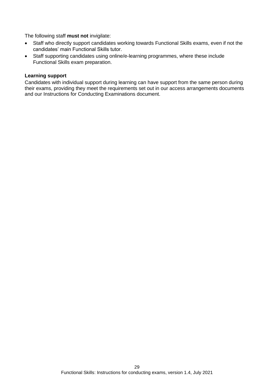The following staff **must not** invigilate:

- Staff who directly support candidates working towards Functional Skills exams, even if not the candidates' main Functional Skills tutor.
- Staff supporting candidates using online/e-learning programmes, where these include Functional Skills exam preparation.

#### **Learning support**

Candidates with individual support during learning can have support from the same person during their exams, providing they meet the requirements set out in our access arrangements documents and our Instructions for Conducting Examinations document.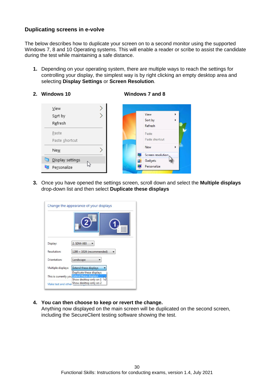#### <span id="page-34-0"></span>**Duplicating screens in e-volve**

The below describes how to duplicate your screen on to a second monitor using the supported Windows 7, 8 and 10 Operating systems. This will enable a reader or scribe to assist the candidate during the test while maintaining a safe distance.

- **1.** Depending on your operating system, there are multiple ways to reach the settings for controlling your display, the simplest way is by right clicking an empty desktop area and selecting **Display Settings** or **Screen Resolution**.
- **2. Windows 10 Windows 7 and 8**



**3.** Once you have opened the settings screen, scroll down and select the **Multiple displays** drop-down list and then select **Duplicate these displays**

|                     | Change the appearance of your displays                                                              |
|---------------------|-----------------------------------------------------------------------------------------------------|
|                     |                                                                                                     |
| Display:            | 2. SDM-X93                                                                                          |
| <b>Resolution:</b>  | $1280 \times 1024$ (recommended)                                                                    |
| Orientation:        | Landscape                                                                                           |
| Multiple displays:  | <b>Extend these displays</b>                                                                        |
|                     | Duplicate these displays<br>This is currently you Extend these displays<br>Show desktop only on 1 w |
| Make text and other | Show desktop only on 2                                                                              |

**4. You can then choose to keep or revert the change.** 

Anything now displayed on the main screen will be duplicated on the second screen, including the SecureClient testing software showing the test.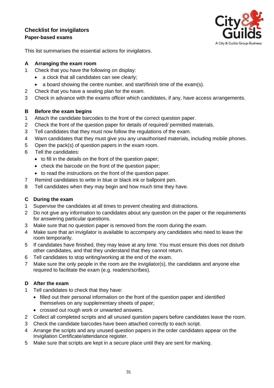#### <span id="page-35-0"></span>**Checklist for invigilators Paper-based exams**



This list summarises the essential actions for invigilators.

#### **A Arranging the exam room**

- 1 Check that you have the following on display:
	- a clock that all candidates can see clearly;
	- a board showing the centre number, and start/finish time of the exam(s).
- 2 Check that you have a seating plan for the exam.
- 3 Check in advance with the exams officer which candidates, if any, have access arrangements.

#### **B Before the exam begins**

- 1 Attach the candidate barcodes to the front of the correct question paper.
- 2 Check the front of the question paper for details of required/ permitted materials.
- 3 Tell candidates that they must now follow the regulations of the exam.
- 4 Warn candidates that they must give you any unauthorised materials, including mobile phones.
- 5 Open the pack(s) of question papers in the exam room.
- 6 Tell the candidates:
	- to fill in the details on the front of the question paper;
	- check the barcode on the front of the question paper;
	- to read the instructions on the front of the question paper.
- 7 Remind candidates to write in blue or black ink or ballpoint pen.
- 8 Tell candidates when they may begin and how much time they have.

#### **C During the exam**

- 1 Supervise the candidates at all times to prevent cheating and distractions.
- 2 Do not give any information to candidates about any question on the paper or the requirements for answering particular questions.
- 3 Make sure that no question paper is removed from the room during the exam.
- 4 Make sure that an invigilator is available to accompany any candidates who need to leave the room temporarily.
- 5 If candidates have finished, they may leave at any time. You must ensure this does not disturb other candidates, and that they understand that they cannot return.
- 6 Tell candidates to stop writing/working at the end of the exam.
- 7 Make sure the only people in the room are the invigilator(s), the candidates and anyone else required to facilitate the exam (e.g. readers/scribes).

#### **D After the exam**

- 1 Tell candidates to check that they have:
	- filled out their personal information on the front of the question paper and identified themselves on any supplementary sheets of paper;
	- crossed out rough work or unwanted answers.
- 2 Collect all completed scripts and all unused question papers before candidates leave the room.
- 3 Check the candidate barcodes have been attached correctly to each script.
- 4 Arrange the scripts and any unused question papers in the order candidates appear on the Invigilation Certificate/attendance register.
- 5 Make sure that scripts are kept in a secure place until they are sent for marking.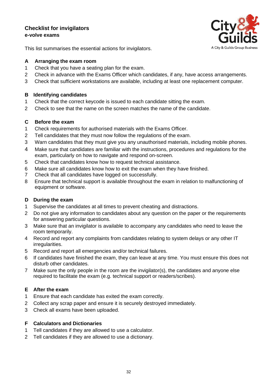#### **Checklist for invigilators e-volve exams**



This list summarises the essential actions for invigilators.

#### **A Arranging the exam room**

- 1 Check that you have a seating plan for the exam.
- 2 Check in advance with the Exams Officer which candidates, if any, have access arrangements.
- 3 Check that sufficient workstations are available, including at least one replacement computer.

#### **B Identifying candidates**

- 1 Check that the correct keycode is issued to each candidate sitting the exam.
- 2 Check to see that the name on the screen matches the name of the candidate.

#### **C Before the exam**

- 1 Check requirements for authorised materials with the Exams Officer.
- 2 Tell candidates that they must now follow the regulations of the exam.
- 3 Warn candidates that they must give you any unauthorised materials, including mobile phones.
- 4 Make sure that candidates are familiar with the instructions, procedures and regulations for the exam, particularly on how to navigate and respond on-screen.
- 5 Check that candidates know how to request technical assistance.
- 6 Make sure all candidates know how to exit the exam when they have finished.
- 7 Check that all candidates have logged on successfully.
- 8 Ensure that technical support is available throughout the exam in relation to malfunctioning of equipment or software.

#### **D During the exam**

- 1 Supervise the candidates at all times to prevent cheating and distractions.
- 2 Do not give any information to candidates about any question on the paper or the requirements for answering particular questions.
- 3 Make sure that an invigilator is available to accompany any candidates who need to leave the room temporarily.
- 4 Record and report any complaints from candidates relating to system delays or any other IT irregularities.
- 5 Record and report all emergencies and/or technical failures.
- 6 If candidates have finished the exam, they can leave at any time. You must ensure this does not disturb other candidates.
- 7 Make sure the only people in the room are the invigilator(s), the candidates and anyone else required to facilitate the exam (e.g. technical support or readers/scribes).

#### **E After the exam**

- 1 Ensure that each candidate has exited the exam correctly.
- 2 Collect any scrap paper and ensure it is securely destroyed immediately.
- 3 Check all exams have been uploaded.

#### **F Calculators and Dictionaries**

- 1 Tell candidates if they are allowed to use a calculator.
- 2 Tell candidates if they are allowed to use a dictionary.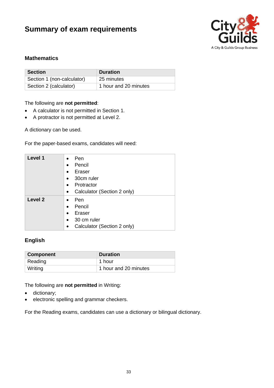## <span id="page-37-0"></span>**Summary of exam requirements**



#### **Mathematics**

| <b>Section</b>             | <b>Duration</b>       |
|----------------------------|-----------------------|
| Section 1 (non-calculator) | 25 minutes            |
| Section 2 (calculator)     | 1 hour and 20 minutes |

#### The following are **not permitted**:

- A calculator is not permitted in Section 1.
- A protractor is not permitted at Level 2.

A dictionary can be used.

For the paper-based exams, candidates will need:

| Level 1            | Pen<br>$\bullet$<br>Pencil<br>$\bullet$<br>Eraser<br>$\bullet$<br>30cm ruler<br>$\bullet$<br>Protractor<br>$\bullet$<br>Calculator (Section 2 only)<br>$\bullet$ |
|--------------------|------------------------------------------------------------------------------------------------------------------------------------------------------------------|
| Level <sub>2</sub> | Pen<br>$\bullet$<br>Pencil<br>$\bullet$<br>Eraser<br>$\bullet$<br>30 cm ruler<br>$\bullet$<br>Calculator (Section 2 only)                                        |

#### **English**

| <b>Component</b> | <b>Duration</b>       |
|------------------|-----------------------|
| Reading          | 1 hour                |
| Writing          | 1 hour and 20 minutes |

The following are **not permitted** in Writing:

- dictionary;
- electronic spelling and grammar checkers.

For the Reading exams, candidates can use a dictionary or bilingual dictionary.